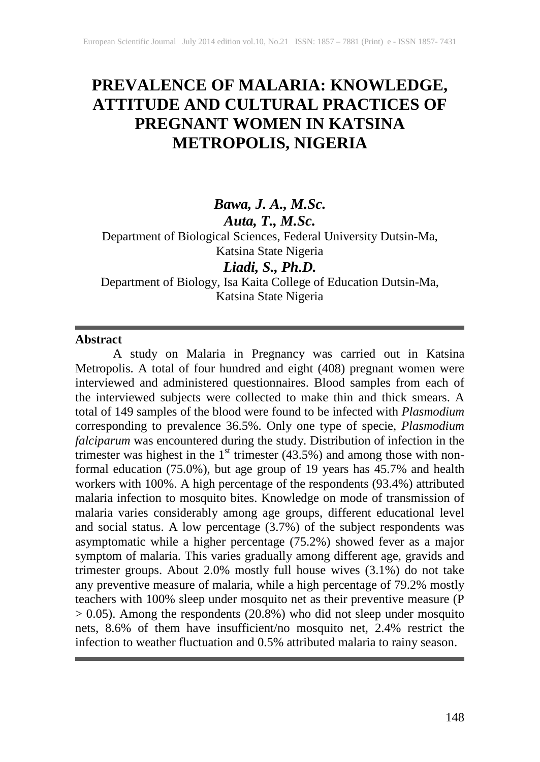# **PREVALENCE OF MALARIA: KNOWLEDGE, ATTITUDE AND CULTURAL PRACTICES OF PREGNANT WOMEN IN KATSINA METROPOLIS, NIGERIA**

# *Bawa, J. A., M.Sc. Auta, T., M.Sc.*

Department of Biological Sciences, Federal University Dutsin-Ma, Katsina State Nigeria

# *Liadi, S., Ph.D.*

Department of Biology, Isa Kaita College of Education Dutsin-Ma, Katsina State Nigeria

#### **Abstract**

A study on Malaria in Pregnancy was carried out in Katsina Metropolis. A total of four hundred and eight (408) pregnant women were interviewed and administered questionnaires. Blood samples from each of the interviewed subjects were collected to make thin and thick smears. A total of 149 samples of the blood were found to be infected with *Plasmodium* corresponding to prevalence 36.5%. Only one type of specie, *Plasmodium falciparum* was encountered during the study. Distribution of infection in the trimester was highest in the  $1<sup>st</sup>$  trimester (43.5%) and among those with nonformal education (75.0%), but age group of 19 years has 45.7% and health workers with 100%. A high percentage of the respondents (93.4%) attributed malaria infection to mosquito bites. Knowledge on mode of transmission of malaria varies considerably among age groups, different educational level and social status. A low percentage (3.7%) of the subject respondents was asymptomatic while a higher percentage (75.2%) showed fever as a major symptom of malaria. This varies gradually among different age, gravids and trimester groups. About 2.0% mostly full house wives (3.1%) do not take any preventive measure of malaria, while a high percentage of 79.2% mostly teachers with 100% sleep under mosquito net as their preventive measure (P > 0.05). Among the respondents (20.8%) who did not sleep under mosquito nets, 8.6% of them have insufficient/no mosquito net, 2.4% restrict the infection to weather fluctuation and 0.5% attributed malaria to rainy season.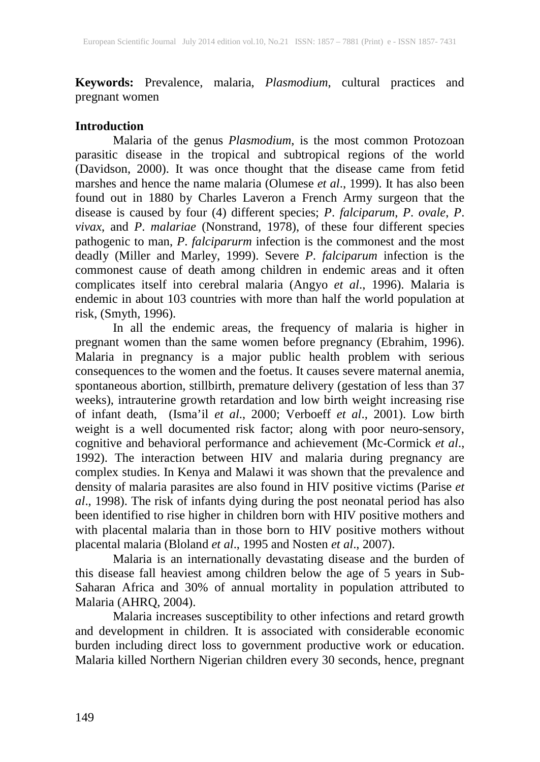**Keywords:** Prevalence, malaria, *Plasmodium*, cultural practices and pregnant women

#### **Introduction**

Malaria of the genus *Plasmodium*, is the most common Protozoan parasitic disease in the tropical and subtropical regions of the world (Davidson, 2000). It was once thought that the disease came from fetid marshes and hence the name malaria (Olumese *et al*., 1999). It has also been found out in 1880 by Charles Laveron a French Army surgeon that the disease is caused by four (4) different species; *P*. *falciparum*, *P*. *ovale*, *P*. *vivax*, and *P*. *malariae* (Nonstrand, 1978), of these four different species pathogenic to man, *P*. *falciparurm* infection is the commonest and the most deadly (Miller and Marley, 1999). Severe *P*. *falciparum* infection is the commonest cause of death among children in endemic areas and it often complicates itself into cerebral malaria (Angyo *et al*., 1996). Malaria is endemic in about 103 countries with more than half the world population at risk, (Smyth, 1996).

In all the endemic areas, the frequency of malaria is higher in pregnant women than the same women before pregnancy (Ebrahim, 1996). Malaria in pregnancy is a major public health problem with serious consequences to the women and the foetus. It causes severe maternal anemia, spontaneous abortion, stillbirth, premature delivery (gestation of less than 37 weeks), intrauterine growth retardation and low birth weight increasing rise of infant death, (Isma'il *et al*., 2000; Verboeff *et al*., 2001). Low birth weight is a well documented risk factor; along with poor neuro-sensory, cognitive and behavioral performance and achievement (Mc-Cormick *et al*., 1992). The interaction between HIV and malaria during pregnancy are complex studies. In Kenya and Malawi it was shown that the prevalence and density of malaria parasites are also found in HIV positive victims (Parise *et al*., 1998). The risk of infants dying during the post neonatal period has also been identified to rise higher in children born with HIV positive mothers and with placental malaria than in those born to HIV positive mothers without placental malaria (Bloland *et al*., 1995 and Nosten *et al*., 2007).

Malaria is an internationally devastating disease and the burden of this disease fall heaviest among children below the age of 5 years in Sub-Saharan Africa and 30% of annual mortality in population attributed to Malaria (AHRQ, 2004).

Malaria increases susceptibility to other infections and retard growth and development in children. It is associated with considerable economic burden including direct loss to government productive work or education. Malaria killed Northern Nigerian children every 30 seconds, hence, pregnant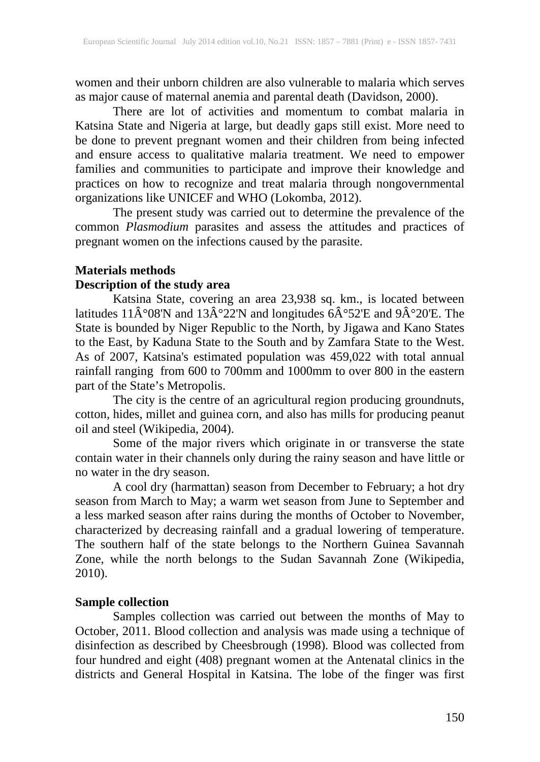women and their unborn children are also vulnerable to malaria which serves as major cause of maternal anemia and parental death (Davidson, 2000).

There are lot of activities and momentum to combat malaria in Katsina State and Nigeria at large, but deadly gaps still exist. More need to be done to prevent pregnant women and their children from being infected and ensure access to qualitative malaria treatment. We need to empower families and communities to participate and improve their knowledge and practices on how to recognize and treat malaria through nongovernmental organizations like UNICEF and WHO (Lokomba, 2012).

The present study was carried out to determine the prevalence of the common *Plasmodium* parasites and assess the attitudes and practices of pregnant women on the infections caused by the parasite.

# **Materials methods**

# **Description of the study area**

Katsina State, covering an area 23,938 sq. km., is located between latitudes 11 $\hat{A}^{\circ}08'N$  and 13 $\hat{A}^{\circ}22'N$  and longitudes 6 $\hat{A}^{\circ}52'E$  and 9 $\hat{A}^{\circ}20'E$ . The State is bounded by Niger Republic to the North, by Jigawa and Kano States to the East, by Kaduna State to the South and by Zamfara State to the West. As of 2007, Katsina's estimated population was 459,022 with total annual rainfall ranging from 600 to 700mm and 1000mm to over 800 in the eastern part of the State's Metropolis.

The city is the centre of an agricultural region producing groundnuts, cotton, hides, millet and guinea corn, and also has mills for producing peanut oil and steel (Wikipedia, 2004).

Some of the major rivers which originate in or transverse the state contain water in their channels only during the rainy season and have little or no water in the dry season.

A cool dry (harmattan) season from December to February; a hot dry season from March to May; a warm wet season from June to September and a less marked season after rains during the months of October to November, characterized by decreasing rainfall and a gradual lowering of temperature. The southern half of the state belongs to the Northern Guinea Savannah Zone, while the north belongs to the Sudan Savannah Zone (Wikipedia, 2010).

## **Sample collection**

Samples collection was carried out between the months of May to October, 2011. Blood collection and analysis was made using a technique of disinfection as described by Cheesbrough (1998). Blood was collected from four hundred and eight (408) pregnant women at the Antenatal clinics in the districts and General Hospital in Katsina. The lobe of the finger was first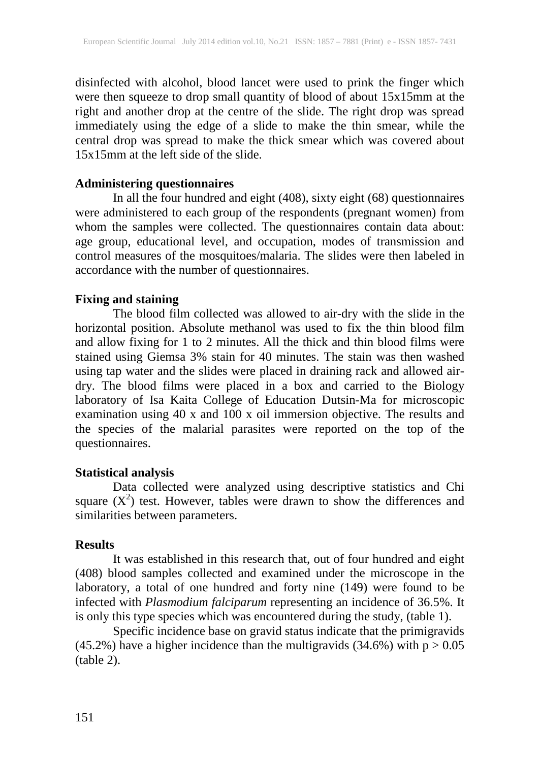disinfected with alcohol, blood lancet were used to prink the finger which were then squeeze to drop small quantity of blood of about 15x15mm at the right and another drop at the centre of the slide. The right drop was spread immediately using the edge of a slide to make the thin smear, while the central drop was spread to make the thick smear which was covered about 15x15mm at the left side of the slide.

#### **Administering questionnaires**

In all the four hundred and eight (408), sixty eight (68) questionnaires were administered to each group of the respondents (pregnant women) from whom the samples were collected. The questionnaires contain data about: age group, educational level, and occupation, modes of transmission and control measures of the mosquitoes/malaria. The slides were then labeled in accordance with the number of questionnaires.

## **Fixing and staining**

The blood film collected was allowed to air-dry with the slide in the horizontal position. Absolute methanol was used to fix the thin blood film and allow fixing for 1 to 2 minutes. All the thick and thin blood films were stained using Giemsa 3% stain for 40 minutes. The stain was then washed using tap water and the slides were placed in draining rack and allowed airdry. The blood films were placed in a box and carried to the Biology laboratory of Isa Kaita College of Education Dutsin-Ma for microscopic examination using 40 x and 100 x oil immersion objective. The results and the species of the malarial parasites were reported on the top of the questionnaires.

## **Statistical analysis**

Data collected were analyzed using descriptive statistics and Chi square  $(X^2)$  test. However, tables were drawn to show the differences and similarities between parameters.

## **Results**

It was established in this research that, out of four hundred and eight (408) blood samples collected and examined under the microscope in the laboratory, a total of one hundred and forty nine (149) were found to be infected with *Plasmodium falciparum* representing an incidence of 36.5%. It is only this type species which was encountered during the study, (table 1).

Specific incidence base on gravid status indicate that the primigravids (45.2%) have a higher incidence than the multigravids (34.6%) with  $p > 0.05$ (table 2).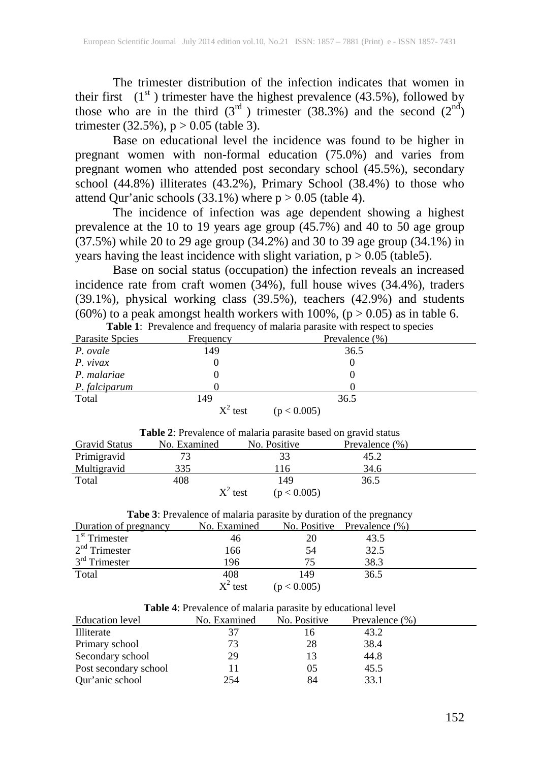The trimester distribution of the infection indicates that women in their first  $(1<sup>st</sup>)$  trimester have the highest prevalence (43.5%), followed by those who are in the third  $(3<sup>rd</sup>)$  trimester  $(38.3%)$  and the second  $(2<sup>nd</sup>)$ trimester (32.5%),  $p > 0.05$  (table 3).

Base on educational level the incidence was found to be higher in pregnant women with non-formal education (75.0%) and varies from pregnant women who attended post secondary school (45.5%), secondary school (44.8%) illiterates (43.2%), Primary School (38.4%) to those who attend Qur'anic schools  $(33.1\%)$  where  $p > 0.05$  (table 4).

The incidence of infection was age dependent showing a highest prevalence at the 10 to 19 years age group (45.7%) and 40 to 50 age group (37.5%) while 20 to 29 age group (34.2%) and 30 to 39 age group (34.1%) in years having the least incidence with slight variation,  $p > 0.05$  (table5).

Base on social status (occupation) the infection reveals an increased incidence rate from craft women (34%), full house wives (34.4%), traders (39.1%), physical working class (39.5%), teachers (42.9%) and students  $(60\%)$  to a peak amongst health workers with 100%,  $(p > 0.05)$  as in table 6. **Table 1**: Prevalence and frequency of malaria parasite with respect to species

|                 | <b>Table 1.</b> Prevalence and requency of malaria parasite with respect to species |                |  |  |  |  |  |  |  |
|-----------------|-------------------------------------------------------------------------------------|----------------|--|--|--|--|--|--|--|
| Parasite Spoies | Frequency                                                                           | Prevalence (%) |  |  |  |  |  |  |  |
| P. ovale        | 149                                                                                 | 36.5           |  |  |  |  |  |  |  |
| P. vivax        |                                                                                     |                |  |  |  |  |  |  |  |
| P. malariae     |                                                                                     |                |  |  |  |  |  |  |  |
| P. falciparum   |                                                                                     |                |  |  |  |  |  |  |  |
| Total           | 149                                                                                 | 36.5           |  |  |  |  |  |  |  |
|                 | $X^2$ test                                                                          | (p < 0.005)    |  |  |  |  |  |  |  |

| <b>Table 2:</b> Prevalence of malaria parasite based on gravid status |              |                           |                   |  |  |  |  |  |
|-----------------------------------------------------------------------|--------------|---------------------------|-------------------|--|--|--|--|--|
| <b>Gravid Status</b>                                                  | No. Examined | No. Positive              | Prevalence $(\%)$ |  |  |  |  |  |
| Primigravid                                                           |              | 33                        | 45.2              |  |  |  |  |  |
| <b>Multigravid</b>                                                    | 335          | 116                       | 34.6              |  |  |  |  |  |
| Total                                                                 | 408          | 149                       | 36.5              |  |  |  |  |  |
|                                                                       |              | $X^2$ test<br>(p < 0.005) |                   |  |  |  |  |  |

| Tabe 3: Prevalence of malaria parasite by duration of the pregnancy |  |  |
|---------------------------------------------------------------------|--|--|
|---------------------------------------------------------------------|--|--|

| Duration of pregnancy | No. Examined |             | No. Positive Prevalence $(\%)$ |  |
|-----------------------|--------------|-------------|--------------------------------|--|
| $1st$ Trimester       | 46           | 20          | 43.5                           |  |
| $2nd$ Trimester       | 166          | 54          | 32.5                           |  |
| $3rd$ Trimester       | 196          | 75          | 38.3                           |  |
| Total                 | 408          | 149         | 36.5                           |  |
|                       | $X^2$ test   | (p < 0.005) |                                |  |

| Table 4: Prevalence of malaria parasite by educational level |
|--------------------------------------------------------------|
|--------------------------------------------------------------|

| Education level       | No. Examined | No. Positive | Prevalence $(\%)$ |
|-----------------------|--------------|--------------|-------------------|
| Illiterate            | 37           | 16           | 43.2              |
| Primary school        | 73           | 28           | 38.4              |
| Secondary school      | 29           | 13           | 44.8              |
| Post secondary school |              | 05           | 45.5              |
| Our'anic school       | 254          | 84           | 33.1              |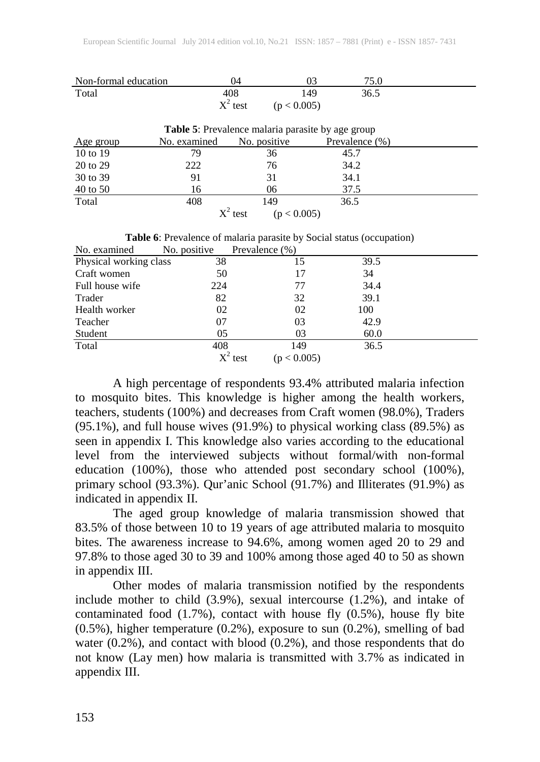| Non-formal education | 14         |             | 75.0 |  |
|----------------------|------------|-------------|------|--|
| Total                | 408        | 49          | 36.5 |  |
|                      | $X^2$ test | (p < 0.005) |      |  |

| Table 5: Prevalence malaria parasite by age group |              |                           |                |  |  |  |  |  |
|---------------------------------------------------|--------------|---------------------------|----------------|--|--|--|--|--|
| Age group                                         | No. examined | No. positive              | Prevalence (%) |  |  |  |  |  |
| 10 to 19                                          | 79           | 36                        | 45.7           |  |  |  |  |  |
| 20 to 29                                          | 222          | 76                        | 34.2           |  |  |  |  |  |
| 30 to 39                                          | 91           | 31                        | 34.1           |  |  |  |  |  |
| 40 to 50                                          | 16           | 06                        | 37.5           |  |  |  |  |  |
| Total                                             | 408          | 149                       | 36.5           |  |  |  |  |  |
|                                                   |              | $X^2$ test<br>(p < 0.005) |                |  |  |  |  |  |

| <b>rapic 0.</b> I revalence of malaria parasite by Bocial status (occupation) |              |                   |      |  |  |  |  |  |
|-------------------------------------------------------------------------------|--------------|-------------------|------|--|--|--|--|--|
| No. examined                                                                  | No. positive | Prevalence $(\%)$ |      |  |  |  |  |  |
| Physical working class                                                        | 38           |                   | 39.5 |  |  |  |  |  |
| Craft women                                                                   | 50           |                   | 34   |  |  |  |  |  |
| Full house wife                                                               | 224          | 77                | 34.4 |  |  |  |  |  |
| Trader                                                                        | 82           | 32                | 39.1 |  |  |  |  |  |
| Health worker                                                                 | 02           | 02                | 100  |  |  |  |  |  |
| Teacher                                                                       | 07           | 03                | 42.9 |  |  |  |  |  |
| Student                                                                       | 05           | 03                | 60.0 |  |  |  |  |  |
| Total                                                                         | 408          | 149               | 36.5 |  |  |  |  |  |

**Table 6**: Prevalence of malaria parasite by Social status (occupation)

 $X^2$  test (p < 0.005)

A high percentage of respondents 93.4% attributed malaria infection to mosquito bites. This knowledge is higher among the health workers, teachers, students (100%) and decreases from Craft women (98.0%), Traders (95.1%), and full house wives (91.9%) to physical working class (89.5%) as seen in appendix I. This knowledge also varies according to the educational level from the interviewed subjects without formal/with non-formal education (100%), those who attended post secondary school (100%), primary school (93.3%). Qur'anic School (91.7%) and Illiterates (91.9%) as indicated in appendix II.

The aged group knowledge of malaria transmission showed that 83.5% of those between 10 to 19 years of age attributed malaria to mosquito bites. The awareness increase to 94.6%, among women aged 20 to 29 and 97.8% to those aged 30 to 39 and 100% among those aged 40 to 50 as shown in appendix III.

Other modes of malaria transmission notified by the respondents include mother to child (3.9%), sexual intercourse (1.2%), and intake of contaminated food (1.7%), contact with house fly (0.5%), house fly bite (0.5%), higher temperature (0.2%), exposure to sun (0.2%), smelling of bad water (0.2%), and contact with blood (0.2%), and those respondents that do not know (Lay men) how malaria is transmitted with 3.7% as indicated in appendix III.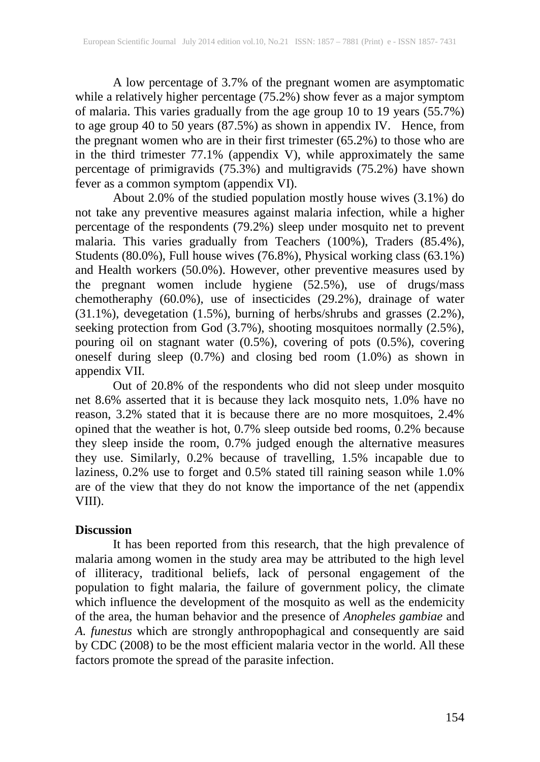A low percentage of 3.7% of the pregnant women are asymptomatic while a relatively higher percentage (75.2%) show fever as a major symptom of malaria. This varies gradually from the age group 10 to 19 years (55.7%) to age group 40 to 50 years (87.5%) as shown in appendix IV. Hence, from the pregnant women who are in their first trimester (65.2%) to those who are in the third trimester 77.1% (appendix V), while approximately the same percentage of primigravids (75.3%) and multigravids (75.2%) have shown fever as a common symptom (appendix VI).

About 2.0% of the studied population mostly house wives (3.1%) do not take any preventive measures against malaria infection, while a higher percentage of the respondents (79.2%) sleep under mosquito net to prevent malaria. This varies gradually from Teachers (100%), Traders (85.4%), Students (80.0%), Full house wives (76.8%), Physical working class (63.1%) and Health workers (50.0%). However, other preventive measures used by the pregnant women include hygiene (52.5%), use of drugs/mass chemotheraphy (60.0%), use of insecticides (29.2%), drainage of water (31.1%), devegetation (1.5%), burning of herbs/shrubs and grasses (2.2%), seeking protection from God (3.7%), shooting mosquitoes normally (2.5%), pouring oil on stagnant water (0.5%), covering of pots (0.5%), covering oneself during sleep (0.7%) and closing bed room (1.0%) as shown in appendix VII.

Out of 20.8% of the respondents who did not sleep under mosquito net 8.6% asserted that it is because they lack mosquito nets, 1.0% have no reason, 3.2% stated that it is because there are no more mosquitoes, 2.4% opined that the weather is hot, 0.7% sleep outside bed rooms, 0.2% because they sleep inside the room, 0.7% judged enough the alternative measures they use. Similarly, 0.2% because of travelling, 1.5% incapable due to laziness, 0.2% use to forget and 0.5% stated till raining season while 1.0% are of the view that they do not know the importance of the net (appendix VIII).

#### **Discussion**

It has been reported from this research, that the high prevalence of malaria among women in the study area may be attributed to the high level of illiteracy, traditional beliefs, lack of personal engagement of the population to fight malaria, the failure of government policy, the climate which influence the development of the mosquito as well as the endemicity of the area, the human behavior and the presence of *Anopheles gambiae* and *A. funestus* which are strongly anthropophagical and consequently are said by CDC (2008) to be the most efficient malaria vector in the world. All these factors promote the spread of the parasite infection.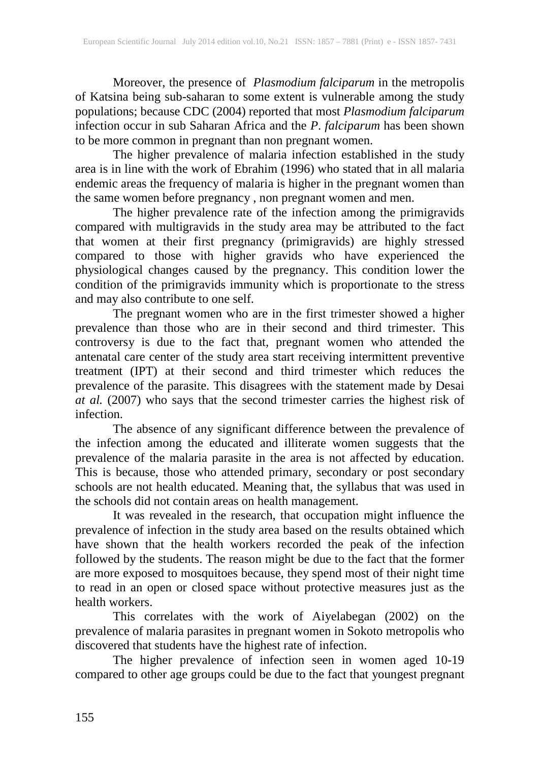Moreover, the presence of *Plasmodium falciparum* in the metropolis of Katsina being sub-saharan to some extent is vulnerable among the study populations; because CDC (2004) reported that most *Plasmodium falciparum* infection occur in sub Saharan Africa and the *P*. *falciparum* has been shown to be more common in pregnant than non pregnant women.

The higher prevalence of malaria infection established in the study area is in line with the work of Ebrahim (1996) who stated that in all malaria endemic areas the frequency of malaria is higher in the pregnant women than the same women before pregnancy , non pregnant women and men.

The higher prevalence rate of the infection among the primigravids compared with multigravids in the study area may be attributed to the fact that women at their first pregnancy (primigravids) are highly stressed compared to those with higher gravids who have experienced the physiological changes caused by the pregnancy. This condition lower the condition of the primigravids immunity which is proportionate to the stress and may also contribute to one self.

The pregnant women who are in the first trimester showed a higher prevalence than those who are in their second and third trimester. This controversy is due to the fact that, pregnant women who attended the antenatal care center of the study area start receiving intermittent preventive treatment (IPT) at their second and third trimester which reduces the prevalence of the parasite. This disagrees with the statement made by Desai *at al.* (2007) who says that the second trimester carries the highest risk of infection.

The absence of any significant difference between the prevalence of the infection among the educated and illiterate women suggests that the prevalence of the malaria parasite in the area is not affected by education. This is because, those who attended primary, secondary or post secondary schools are not health educated. Meaning that, the syllabus that was used in the schools did not contain areas on health management.

It was revealed in the research, that occupation might influence the prevalence of infection in the study area based on the results obtained which have shown that the health workers recorded the peak of the infection followed by the students. The reason might be due to the fact that the former are more exposed to mosquitoes because, they spend most of their night time to read in an open or closed space without protective measures just as the health workers.

This correlates with the work of Aiyelabegan (2002) on the prevalence of malaria parasites in pregnant women in Sokoto metropolis who discovered that students have the highest rate of infection.

The higher prevalence of infection seen in women aged 10-19 compared to other age groups could be due to the fact that youngest pregnant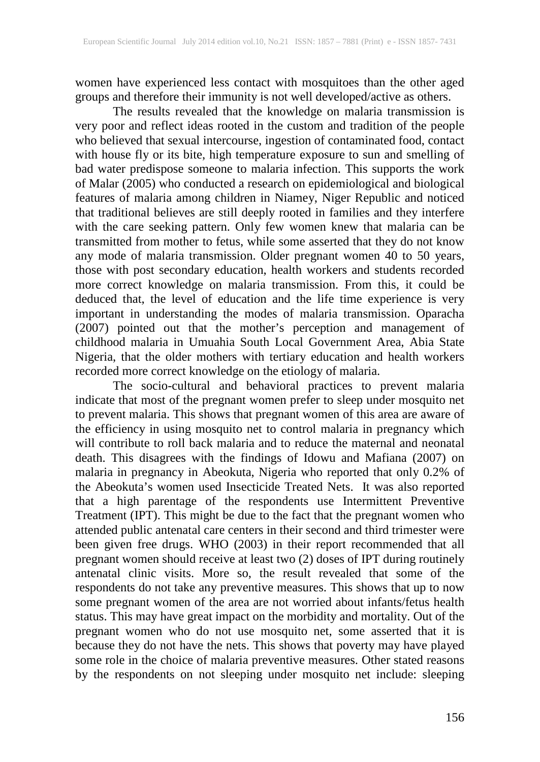women have experienced less contact with mosquitoes than the other aged groups and therefore their immunity is not well developed/active as others.

The results revealed that the knowledge on malaria transmission is very poor and reflect ideas rooted in the custom and tradition of the people who believed that sexual intercourse, ingestion of contaminated food, contact with house fly or its bite, high temperature exposure to sun and smelling of bad water predispose someone to malaria infection. This supports the work of Malar (2005) who conducted a research on epidemiological and biological features of malaria among children in Niamey, Niger Republic and noticed that traditional believes are still deeply rooted in families and they interfere with the care seeking pattern. Only few women knew that malaria can be transmitted from mother to fetus, while some asserted that they do not know any mode of malaria transmission. Older pregnant women 40 to 50 years, those with post secondary education, health workers and students recorded more correct knowledge on malaria transmission. From this, it could be deduced that, the level of education and the life time experience is very important in understanding the modes of malaria transmission. Oparacha (2007) pointed out that the mother's perception and management of childhood malaria in Umuahia South Local Government Area, Abia State Nigeria, that the older mothers with tertiary education and health workers recorded more correct knowledge on the etiology of malaria.

The socio-cultural and behavioral practices to prevent malaria indicate that most of the pregnant women prefer to sleep under mosquito net to prevent malaria. This shows that pregnant women of this area are aware of the efficiency in using mosquito net to control malaria in pregnancy which will contribute to roll back malaria and to reduce the maternal and neonatal death. This disagrees with the findings of Idowu and Mafiana (2007) on malaria in pregnancy in Abeokuta, Nigeria who reported that only 0.2% of the Abeokuta's women used Insecticide Treated Nets. It was also reported that a high parentage of the respondents use Intermittent Preventive Treatment (IPT). This might be due to the fact that the pregnant women who attended public antenatal care centers in their second and third trimester were been given free drugs. WHO (2003) in their report recommended that all pregnant women should receive at least two (2) doses of IPT during routinely antenatal clinic visits. More so, the result revealed that some of the respondents do not take any preventive measures. This shows that up to now some pregnant women of the area are not worried about infants/fetus health status. This may have great impact on the morbidity and mortality. Out of the pregnant women who do not use mosquito net, some asserted that it is because they do not have the nets. This shows that poverty may have played some role in the choice of malaria preventive measures. Other stated reasons by the respondents on not sleeping under mosquito net include: sleeping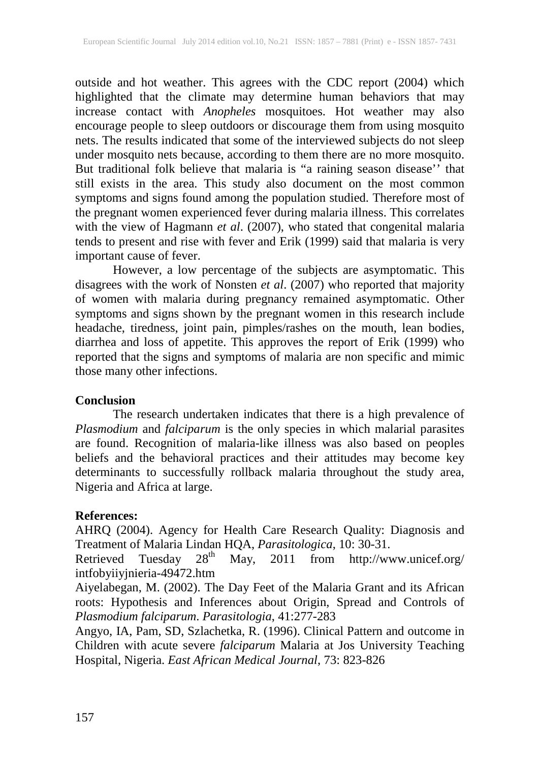outside and hot weather. This agrees with the CDC report (2004) which highlighted that the climate may determine human behaviors that may increase contact with *Anopheles* mosquitoes. Hot weather may also encourage people to sleep outdoors or discourage them from using mosquito nets. The results indicated that some of the interviewed subjects do not sleep under mosquito nets because, according to them there are no more mosquito. But traditional folk believe that malaria is "a raining season disease'' that still exists in the area. This study also document on the most common symptoms and signs found among the population studied. Therefore most of the pregnant women experienced fever during malaria illness. This correlates with the view of Hagmann *et al*. (2007), who stated that congenital malaria tends to present and rise with fever and Erik (1999) said that malaria is very important cause of fever.

However, a low percentage of the subjects are asymptomatic. This disagrees with the work of Nonsten *et al*. (2007) who reported that majority of women with malaria during pregnancy remained asymptomatic. Other symptoms and signs shown by the pregnant women in this research include headache, tiredness, joint pain, pimples/rashes on the mouth, lean bodies, diarrhea and loss of appetite. This approves the report of Erik (1999) who reported that the signs and symptoms of malaria are non specific and mimic those many other infections.

#### **Conclusion**

The research undertaken indicates that there is a high prevalence of *Plasmodium* and *falciparum* is the only species in which malarial parasites are found. Recognition of malaria-like illness was also based on peoples beliefs and the behavioral practices and their attitudes may become key determinants to successfully rollback malaria throughout the study area, Nigeria and Africa at large.

## **References:**

AHRQ (2004). Agency for Health Care Research Quality: Diagnosis and Treatment of Malaria Lindan HQA, *Parasitologica*, 10: 30-31.<br>Retrieved Tuesday 28<sup>th</sup> May, 2011 from http://wv

May, 2011 from http://www.unicef.org/ intfobyiiyjnieria-49472.htm

Aiyelabegan, M. (2002). The Day Feet of the Malaria Grant and its African roots: Hypothesis and Inferences about Origin, Spread and Controls of *Plasmodium falciparum*. *Parasitologia*, 41:277-283

Angyo, IA, Pam, SD, Szlachetka, R. (1996). Clinical Pattern and outcome in Children with acute severe *falciparum* Malaria at Jos University Teaching Hospital, Nigeria. *East African Medical Journal*, 73: 823-826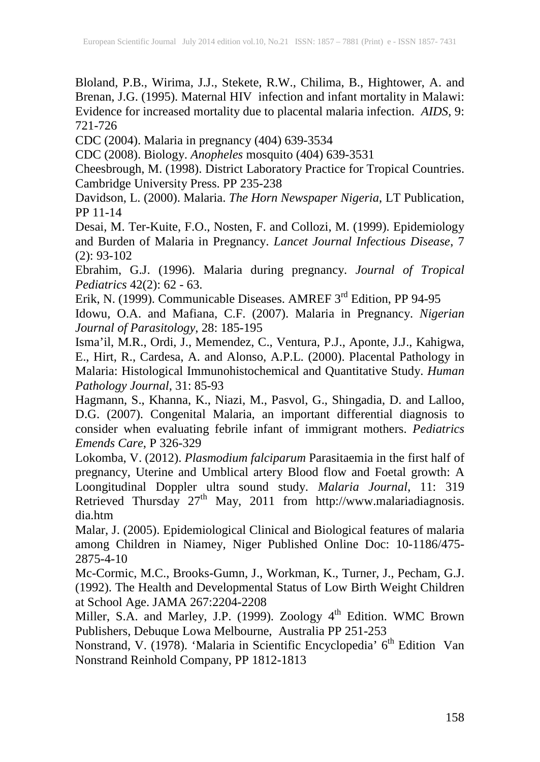Bloland, P.B., Wirima, J.J., Stekete, R.W., Chilima, B., Hightower, A. and Brenan, J.G. (1995). Maternal HIV infection and infant mortality in Malawi: Evidence for increased mortality due to placental malaria infection. *AIDS*, 9: 721-726

CDC (2004). Malaria in pregnancy (404) 639-3534

CDC (2008). Biology. *Anopheles* mosquito (404) 639-3531

Cheesbrough, M. (1998). District Laboratory Practice for Tropical Countries. Cambridge University Press. PP 235-238

Davidson, L. (2000). Malaria. *The Horn Newspaper Nigeria*, LT Publication, PP 11-14

Desai, M. Ter-Kuite, F.O., Nosten, F. and Collozi, M. (1999). Epidemiology and Burden of Malaria in Pregnancy. *Lancet Journal Infectious Disease*, 7 (2): 93-102

Ebrahim, G.J. (1996). Malaria during pregnancy. *Journal of Tropical Pediatrics* 42(2): 62 - 63.

Erik, N. (1999). Communicable Diseases. AMREF 3<sup>rd</sup> Edition, PP 94-95 Idowu, O.A. and Mafiana, C.F. (2007). Malaria in Pregnancy. *Nigerian* 

*Journal of Parasitology*, 28: 185-195

Isma'il, M.R., Ordi, J., Memendez, C., Ventura, P.J., Aponte, J.J., Kahigwa, E., Hirt, R., Cardesa, A. and Alonso, A.P.L. (2000). Placental Pathology in Malaria: Histological Immunohistochemical and Quantitative Study. *Human Pathology Journal*, 31: 85-93

Hagmann, S., Khanna, K., Niazi, M., Pasvol, G., Shingadia, D. and Lalloo, D.G. (2007). Congenital Malaria, an important differential diagnosis to consider when evaluating febrile infant of immigrant mothers. *Pediatrics Emends Care*, P 326-329

Lokomba, V. (2012). *Plasmodium falciparum* Parasitaemia in the first half of pregnancy, Uterine and Umblical artery Blood flow and Foetal growth: A Loongitudinal Doppler ultra sound study. *Malaria Journal*, 11: 319 Retrieved Thursday  $27<sup>th</sup>$  May, 2011 from http://www.malariadiagnosis. dia.htm

Malar, J. (2005). Epidemiological Clinical and Biological features of malaria among Children in Niamey, Niger Published Online Doc: 10-1186/475- 2875-4-10

Mc-Cormic, M.C., Brooks-Gumn, J., Workman, K., Turner, J., Pecham, G.J. (1992). The Health and Developmental Status of Low Birth Weight Children at School Age. JAMA 267:2204-2208

Miller, S.A. and Marley, J.P. (1999). Zoology 4<sup>th</sup> Edition. WMC Brown Publishers, Debuque Lowa Melbourne, Australia PP 251-253

Nonstrand, V. (1978). 'Malaria in Scientific Encyclopedia' 6<sup>th</sup> Edition Van Nonstrand Reinhold Company, PP 1812-1813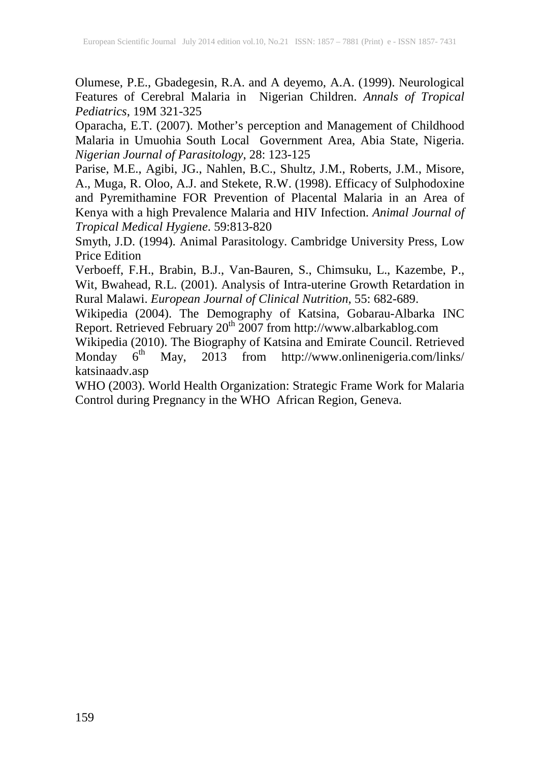Olumese, P.E., Gbadegesin, R.A. and A deyemo, A.A. (1999). Neurological Features of Cerebral Malaria in Nigerian Children. *Annals of Tropical Pediatrics*, 19M 321-325

Oparacha, E.T. (2007). Mother's perception and Management of Childhood Malaria in Umuohia South Local Government Area, Abia State, Nigeria. *Nigerian Journal of Parasitology*, 28: 123-125

Parise, M.E., Agibi, JG., Nahlen, B.C., Shultz, J.M., Roberts, J.M., Misore, A., Muga, R. Oloo, A.J. and Stekete, R.W. (1998). Efficacy of Sulphodoxine and Pyremithamine FOR Prevention of Placental Malaria in an Area of Kenya with a high Prevalence Malaria and HIV Infection. *Animal Journal of Tropical Medical Hygiene*. 59:813-820

Smyth, J.D. (1994). Animal Parasitology. Cambridge University Press, Low Price Edition

Verboeff, F.H., Brabin, B.J., Van-Bauren, S., Chimsuku, L., Kazembe, P., Wit, Bwahead, R.L. (2001). Analysis of Intra-uterine Growth Retardation in Rural Malawi. *European Journal of Clinical Nutrition*, 55: 682-689.

Wikipedia (2004). The Demography of Katsina, Gobarau-Albarka INC Report. Retrieved February 20<sup>th</sup> 2007 from http://www.albarkablog.com

Wikipedia (2010). The Biography of Katsina and Emirate Council. Retrieved Monday  $6^{\text{th}}$  May, 2013 from http://www.onlinenigeria.com/links/  $2013$  from http://www.onlinenigeria.com/links/ katsinaadv.asp

WHO (2003). World Health Organization: Strategic Frame Work for Malaria Control during Pregnancy in the WHO African Region, Geneva.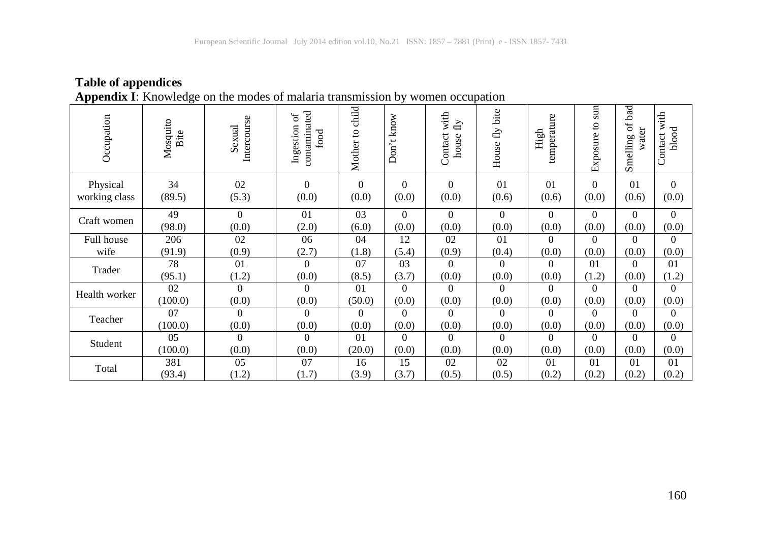|               |                  | Appendix 1. Knowledge on the modes of malaria transmission by women occupation |                                        |                    |              |                                  |                   |                     |                         |                                    |                          |
|---------------|------------------|--------------------------------------------------------------------------------|----------------------------------------|--------------------|--------------|----------------------------------|-------------------|---------------------|-------------------------|------------------------------------|--------------------------|
| Occupation    | Mosquito<br>Bite | Intercourse<br>Sexual                                                          | contaminated<br>ð<br>Ingestion<br>food | child<br>Mother to | know<br>Don' | with<br>f(y)<br>Contact<br>house | fly bite<br>House | temperature<br>High | $\sin$<br>đ<br>Exposure | bad<br>ð<br>water<br>50<br>Smellin | with<br>blood<br>Contact |
| Physical      | 34               | 02                                                                             | $\Omega$                               | $\Omega$           | $\Omega$     | $\Omega$                         | 01                | 01                  | $\Omega$                | 01                                 | $\Omega$                 |
| working class | (89.5)           | (5.3)                                                                          | (0.0)                                  | (0.0)              | (0.0)        | (0.0)                            | (0.6)             | (0.6)               | (0.0)                   | (0.6)                              | (0.0)                    |
| Craft women   | 49               | $\Omega$                                                                       | 01                                     | 03                 | $\Omega$     | $\Omega$                         | $\theta$          | $\Omega$            | $\Omega$                | $\Omega$                           | $\Omega$                 |
|               | (98.0)           | (0.0)                                                                          | (2.0)                                  | (6.0)              | (0.0)        | (0.0)                            | (0.0)             | (0.0)               | (0.0)                   | (0.0)                              | (0.0)                    |
| Full house    | 206              | 02                                                                             | 06                                     | 04                 | 12           | 02                               | 01                | $\Omega$            | $\Omega$                | $\Omega$                           | $\Omega$                 |
| wife          | (91.9)           | (0.9)                                                                          | (2.7)                                  | (1.8)              | (5.4)        | (0.9)                            | (0.4)             | (0.0)               | (0.0)                   | (0.0)                              | (0.0)                    |
| Trader        | 78               | 01                                                                             | $\mathbf{0}$                           | 07                 | 03           | $\boldsymbol{0}$                 | $\theta$          | $\Omega$            | 01                      | $\Omega$                           | 01                       |
|               | (95.1)           | (1.2)                                                                          | (0.0)                                  | (8.5)              | (3.7)        | (0.0)                            | (0.0)             | (0.0)               | (1.2)                   | (0.0)                              | (1.2)                    |
| Health worker | 02               | $\Omega$                                                                       | $\Omega$                               | 01                 | $\Omega$     | $\Omega$                         | $\Omega$          | $\Omega$            | $\Omega$                | $\Omega$                           | $\Omega$                 |
|               | (100.0)          | (0.0)                                                                          | (0.0)                                  | (50.0)             | (0.0)        | (0.0)                            | (0.0)             | (0.0)               | (0.0)                   | (0.0)                              | (0.0)                    |
| Teacher       | 07               | $\Omega$                                                                       | $\theta$                               | $\Omega$           | $\Omega$     | $\theta$                         | $\Omega$          | $\Omega$            | $\Omega$                | $\Omega$                           | $\Omega$                 |
|               | (100.0)          | (0.0)                                                                          | (0.0)                                  | (0.0)              | (0.0)        | (0.0)                            | (0.0)             | (0.0)               | (0.0)                   | (0.0)                              | (0.0)                    |
| Student       | 05               | $\mathbf{0}$                                                                   | $\overline{0}$                         | 01                 | $\Omega$     | $\theta$                         | $\theta$          | $\Omega$            | $\Omega$                | $\theta$                           | $\Omega$                 |
|               | (100.0)          | (0.0)                                                                          | (0.0)                                  | (20.0)             | (0.0)        | (0.0)                            | (0.0)             | (0.0)               | (0.0)                   | (0.0)                              | (0.0)                    |
| Total         | 381              | 05                                                                             | 07                                     | 16                 | 15           | 02                               | 02                | 01                  | 01                      | 01                                 | 01                       |
|               | (93.4)           | (1.2)                                                                          | (1.7)                                  | (3.9)              | (3.7)        | (0.5)                            | (0.5)             | (0.2)               | (0.2)                   | (0.2)                              | (0.2)                    |

#### **Table of appendices Appendix I**: Knowledge on the modes of malaria transmission by women occupation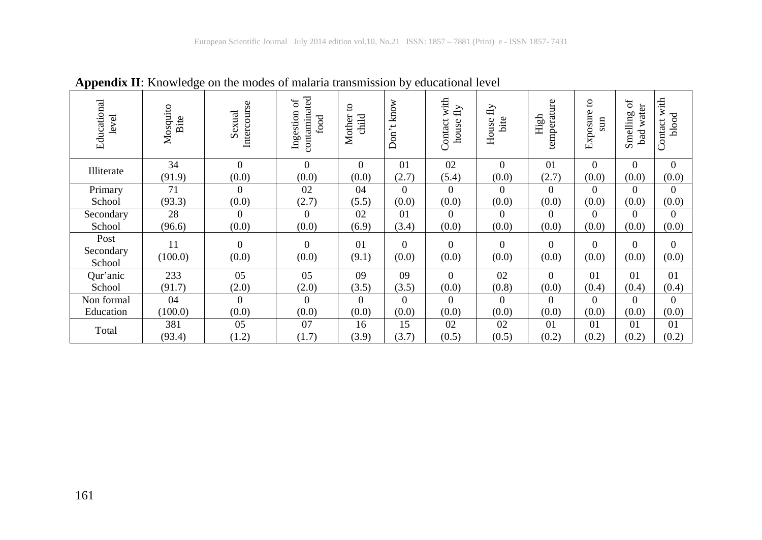| Educational<br>level        | Mosquito<br>Bite | Intercourse<br>Sexual | contaminated<br>$\sigma$<br>Ingestion<br>food | °,<br>Mother<br>child   | know<br>$\overline{\phantom{a}}$<br>Don | with<br>$\rm{fly}$<br>Contact<br>house | $\rm{fly}$<br>bite<br>House | temperature<br>High | S<br>Exposure<br>sun | $\sigma f$<br>water<br>Smelling<br>bad | with<br>blood<br>Contact |
|-----------------------------|------------------|-----------------------|-----------------------------------------------|-------------------------|-----------------------------------------|----------------------------------------|-----------------------------|---------------------|----------------------|----------------------------------------|--------------------------|
| Illiterate                  | 34               | $\Omega$              | $\Omega$                                      | $\theta$                | 01                                      | 02                                     | $\Omega$                    | 01                  | $\theta$             | $\theta$                               | $\Omega$                 |
|                             | (91.9)           | (0.0)                 | (0.0)                                         | (0.0)                   | (2.7)                                   | (5.4)                                  | (0.0)                       | (2.7)               | (0.0)                | (0.0)                                  | (0.0)                    |
| Primary                     | 71               | $\theta$              | 02                                            | 04                      | $\theta$                                | $\overline{0}$                         | $\theta$                    | $\Omega$            | $\Omega$             | $\Omega$                               | $\mathbf{0}$             |
| School                      | (93.3)           | (0.0)                 | (2.7)                                         | (5.5)                   | (0.0)                                   | (0.0)                                  | (0.0)                       | (0.0)               | (0.0)                | (0.0)                                  | (0.0)                    |
| Secondary                   | 28               | $\Omega$              | $\Omega$                                      | 02                      | 01                                      | $\Omega$                               | $\Omega$                    | $\Omega$            | $\Omega$             | $\Omega$                               | $\theta$                 |
| School                      | (96.6)           | (0.0)                 | (0.0)                                         | (6.9)                   | (3.4)                                   | (0.0)                                  | (0.0)                       | (0.0)               | (0.0)                | (0.0)                                  | (0.0)                    |
| Post<br>Secondary<br>School | 11<br>(100.0)    | $\mathbf{0}$<br>(0.0) | $\Omega$<br>(0.0)                             | 0 <sub>1</sub><br>(9.1) | $\Omega$<br>(0.0)                       | $\Omega$<br>(0.0)                      | $\Omega$<br>(0.0)           | $\Omega$<br>(0.0)   | $\Omega$<br>(0.0)    | $\Omega$<br>(0.0)                      | $\Omega$<br>(0.0)        |
| Qur'anic                    | 233              | 05                    | 05                                            | 09                      | 09                                      | $\Omega$                               | 02                          | $\Omega$            | 01                   | 01                                     | 01                       |
| School                      | (91.7)           | (2.0)                 | (2.0)                                         | (3.5)                   | (3.5)                                   | (0.0)                                  | (0.8)                       | (0.0)               | (0.4)                | (0.4)                                  | (0.4)                    |
| Non formal                  | 04               | $\Omega$              | $\Omega$                                      | $\Omega$                | $\Omega$                                | $\Omega$                               | $\Omega$                    | $\Omega$            | $\Omega$             | $\Omega$                               | $\theta$                 |
| Education                   | (100.0)          | (0.0)                 | (0.0)                                         | (0.0)                   | (0.0)                                   | (0.0)                                  | (0.0)                       | (0.0)               | (0.0)                | (0.0)                                  | (0.0)                    |
|                             | 381              | 05                    | 07                                            | 16                      | 15                                      | 02                                     | 02                          | 01                  | 01                   | 01                                     | 01                       |
| Total                       | (93.4)           | (1.2)                 | (1.7)                                         | (3.9)                   | (3.7)                                   | (0.5)                                  | (0.5)                       | (0.2)               | (0.2)                | (0.2)                                  | (0.2)                    |

**Appendix II**: Knowledge on the modes of malaria transmission by educational level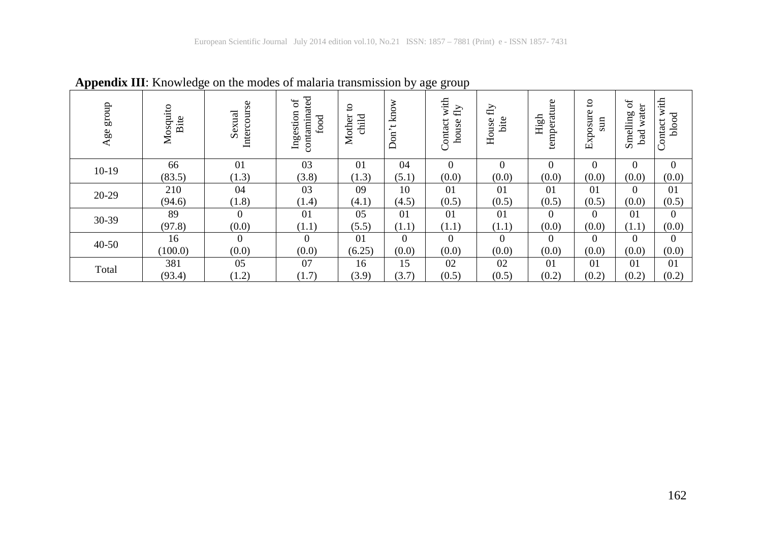| dno.18<br>Agee | Mosquito<br>Bite | Intercourse<br>Sexual | contaminated<br>đ<br>Ingestion<br>food | $\mathsf{S}$<br>child<br>Mother | know<br>$\overline{\phantom{0}}$<br>$\bullet$<br>$\mathop{\mathrm{Don}}$ | ັ<br>with<br>$\rm{fly}$<br>Contact<br>house | $\rm{fly}$<br>bite<br>House | temperature<br>High | ខ<br>Exposure<br>$\sin$ | $\mathfrak{h}^0$<br>ď<br>Smelling<br>wat<br>bad | with<br>blood<br>Contact |
|----------------|------------------|-----------------------|----------------------------------------|---------------------------------|--------------------------------------------------------------------------|---------------------------------------------|-----------------------------|---------------------|-------------------------|-------------------------------------------------|--------------------------|
| $10-19$        | 66<br>(83.5)     | 01<br>(1.3)           | 03<br>(3.8)                            | 01<br>(1.3)                     | 04<br>(5.1)                                                              | $\overline{0}$<br>(0.0)                     | $\Omega$<br>(0.0)           | $\Omega$<br>(0.0)   | $\Omega$<br>(0.0)       | $\Omega$<br>(0.0)                               | $\mathbf{0}$<br>(0.0)    |
|                | 210              | 04                    | 03                                     | 09                              | 10                                                                       | 01                                          | 01                          | 01                  | 01                      | $\Omega$                                        | 01                       |
| 20-29          | (94.6)           | (1.8)                 | (1.4)                                  | (4.1)                           | (4.5)                                                                    | (0.5)                                       | (0.5)                       | (0.5)               | (0.5)                   | (0.0)                                           | (0.5)                    |
| 30-39          | 89               | $\overline{0}$        | 01                                     | 05                              | 01                                                                       | 01                                          | 01                          | $\Omega$            | $\theta$                | 01                                              | $\Omega$                 |
|                | (97.8)           | (0.0)                 | (1.1)                                  | (5.5)                           | (1.1)                                                                    | (1.1)                                       | (1.1)                       | (0.0)               | (0.0)                   | (1.1)                                           | (0.0)                    |
| $40 - 50$      | 16               | $\Omega$              | $\Omega$                               | 01                              | $\theta$                                                                 | $\theta$                                    | $\Omega$                    | $\Omega$            | $\Omega$                | $\Omega$                                        | $\Omega$                 |
|                | (100.0)          | (0.0)                 | (0.0)                                  | (6.25)                          | (0.0)                                                                    | (0.0)                                       | (0.0)                       | (0.0)               | (0.0)                   | (0.0)                                           | (0.0)                    |
| Total          | 381              | 05                    | 07                                     | 16                              | 15                                                                       | 02                                          | 02                          | 01                  | 01                      | 01                                              | 01                       |
|                | (93.4)           | (1.2)                 | (1.7)                                  | (3.9)                           | (3.7)                                                                    | (0.5)                                       | (0.5)                       | (0.2)               | (0.2)                   | (0.2)                                           | (0.2)                    |

**Appendix III**: Knowledge on the modes of malaria transmission by age group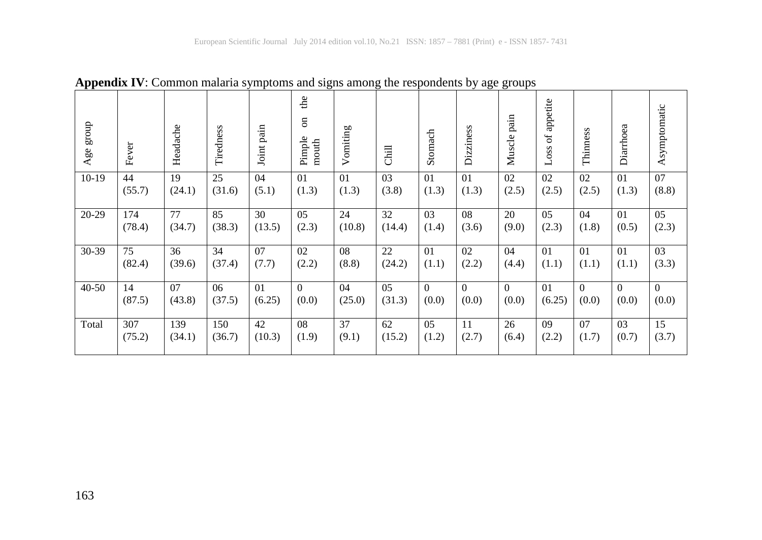| dnora<br>Age | Fever  | Headache | Tiredness | Joint pain | the<br>$\overline{\mathrm{m}}$<br>Pimple<br>${\tt mouth}$ | omiting<br>➢ | Chill          | Stomach        | Dizziness      | Muscle pain | appetite<br>$\sigma$<br>Loss | Thinness | Diarrhoea      | Asymptomatic |
|--------------|--------|----------|-----------|------------|-----------------------------------------------------------|--------------|----------------|----------------|----------------|-------------|------------------------------|----------|----------------|--------------|
| $10-19$      | 44     | 19       | 25        | 04         | 0 <sub>1</sub>                                            | 01           | 03             | 0 <sub>1</sub> | 0 <sub>1</sub> | 02          | 02                           | 02       | 0 <sub>1</sub> | 07           |
|              | (55.7) | (24.1)   | (31.6)    | (5.1)      | (1.3)                                                     | (1.3)        | (3.8)          | (1.3)          | (1.3)          | (2.5)       | (2.5)                        | (2.5)    | (1.3)          | (8.8)        |
| 20-29        | 174    | 77       | 85        | 30         | 05                                                        | 24           | 32             | 03             | 08             | 20          | 05                           | 04       | 0 <sub>1</sub> | 05           |
|              | (78.4) | (34.7)   | (38.3)    | (13.5)     | (2.3)                                                     | (10.8)       | (14.4)         | (1.4)          | (3.6)          | (9.0)       | (2.3)                        | (1.8)    | (0.5)          | (2.3)        |
| 30-39        | 75     | 36       | 34        | 07         | 02                                                        | 08           | 22             | 0 <sub>1</sub> | 02             | 04          | 01                           | 01       | 01             | 03           |
|              | (82.4) | (39.6)   | (37.4)    | (7.7)      | (2.2)                                                     | (8.8)        | (24.2)         | (1.1)          | (2.2)          | (4.4)       | (1.1)                        | (1.1)    | (1.1)          | (3.3)        |
| $40 - 50$    | 14     | 07       | 06        | 01         | $\Omega$                                                  | 04           | 0 <sub>5</sub> | $\Omega$       | $\Omega$       | $\Omega$    | 01                           | $\Omega$ | $\theta$       | $\theta$     |
|              | (87.5) | (43.8)   | (37.5)    | (6.25)     | (0.0)                                                     | (25.0)       | (31.3)         | (0.0)          | (0.0)          | (0.0)       | (6.25)                       | (0.0)    | (0.0)          | (0.0)        |
| Total        | 307    | 139      | 150       | 42         | 08                                                        | 37           | 62             | 0.5            | 11             | 26          | 09                           | 07       | 0 <sub>3</sub> | 15           |
|              | (75.2) | (34.1)   | (36.7)    | (10.3)     | (1.9)                                                     | (9.1)        | (15.2)         | (1.2)          | (2.7)          | (6.4)       | (2.2)                        | (1.7)    | (0.7)          | (3.7)        |

**Appendix IV**: Common malaria symptoms and signs among the respondents by age groups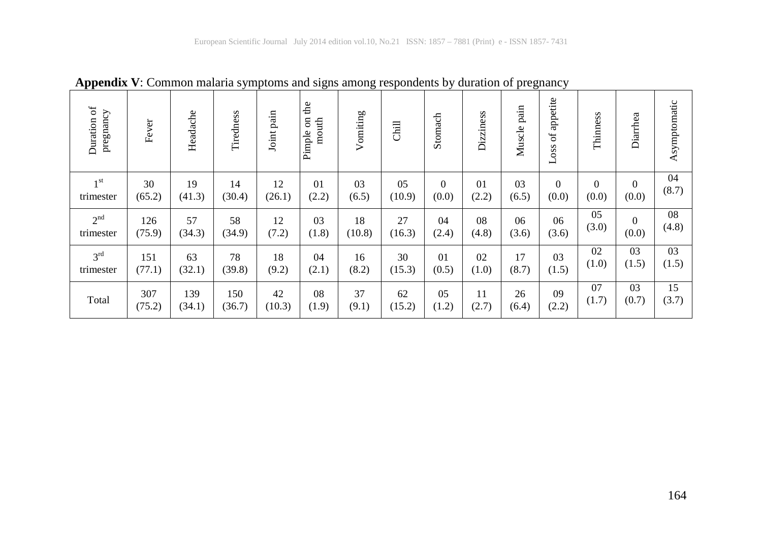| $\sigma$<br>pregnancy<br>Duration | Fever  | Headache | Tiredness | Joint pain | the<br>$\overline{\mathrm{m}}$<br>mouth<br>Pimple | Vomiting | Chill  | Stomach  | Dizziness | Muscle pain | appetite<br>Loss of | Thinness | Diarrhea         | Asymptomatic |
|-----------------------------------|--------|----------|-----------|------------|---------------------------------------------------|----------|--------|----------|-----------|-------------|---------------------|----------|------------------|--------------|
| 1 <sup>st</sup>                   | 30     | 19       | 14        | 12         | 01                                                | 03       | 05     | $\theta$ | 01        | 03          | $\overline{0}$      | $\Omega$ | $\boldsymbol{0}$ | 04           |
| trimester                         | (65.2) | (41.3)   | (30.4)    | (26.1)     | (2.2)                                             | (6.5)    | (10.9) | (0.0)    | (2.2)     | (6.5)       | (0.0)               | (0.0)    | (0.0)            | (8.7)        |
| 2 <sup>nd</sup>                   | 126    | 57       | 58        | 12         | 03                                                | 18       | 27     | 04       | 08        | 06          | 06                  | 05       | $\boldsymbol{0}$ | 08           |
| trimester                         | (75.9) | (34.3)   | (34.9)    | (7.2)      | (1.8)                                             | (10.8)   | (16.3) | (2.4)    | (4.8)     | (3.6)       | (3.6)               | (3.0)    | (0.0)            | (4.8)        |
| 3 <sup>rd</sup>                   | 151    | 63       | 78        | 18         | 04                                                | 16       | 30     | 01       | 02        | 17          | 03                  | 02       | 03               | 03           |
| trimester                         | (77.1) | (32.1)   | (39.8)    | (9.2)      | (2.1)                                             | (8.2)    | (15.3) | (0.5)    | (1.0)     | (8.7)       | (1.5)               | (1.0)    | (1.5)            | (1.5)        |
| Total                             | 307    | 139      | 150       | 42         | 08                                                | 37       | 62     | 05       | 11        | 26          | 09                  | 07       | 03               | 15           |
|                                   | (75.2) | (34.1)   | (36.7)    | (10.3)     | (1.9)                                             | (9.1)    | (15.2) | (1.2)    | (2.7)     | (6.4)       | (2.2)               | (1.7)    | (0.7)            | (3.7)        |

**Appendix V**: Common malaria symptoms and signs among respondents by duration of pregnancy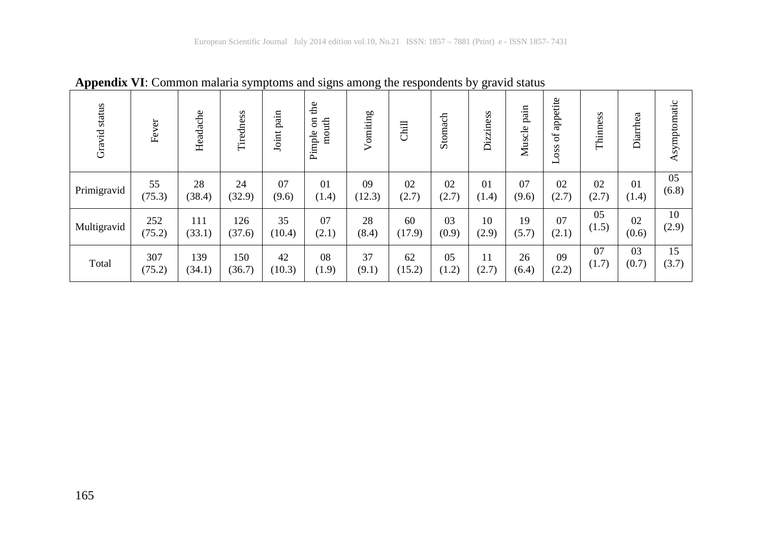| Gravid status | Fever  | Headache | Tiredness | pain<br>Joint | £<br>$\overline{\mathrm{m}}$<br>mouth<br>Pimple | Vomiting | Chill  | Stomach | Dizziness      | pain<br>Muscle | appetite<br>$\sigma$<br>Loss | Thinness | Diarrhea | Asymptomatic |
|---------------|--------|----------|-----------|---------------|-------------------------------------------------|----------|--------|---------|----------------|----------------|------------------------------|----------|----------|--------------|
| Primigravid   | 55     | 28       | 24        | 07            | 01                                              | 09       | 02     | 02      | 0 <sub>1</sub> | 07             | 02                           | 02       | 01       | 05           |
|               | (75.3) | (38.4)   | (32.9)    | (9.6)         | (1.4)                                           | (12.3)   | (2.7)  | (2.7)   | (1.4)          | (9.6)          | (2.7)                        | (2.7)    | (1.4)    | (6.8)        |
| Multigravid   | 252    | 111      | 126       | 35            | 07                                              | 28       | 60     | 03      | 10             | 19             | 07                           | 05       | 02       | 10           |
|               | (75.2) | (33.1)   | (37.6)    | (10.4)        | (2.1)                                           | (8.4)    | (17.9) | (0.9)   | (2.9)          | (5.7)          | (2.1)                        | (1.5)    | (0.6)    | (2.9)        |
| Total         | 307    | 139      | 150       | 42            | 08                                              | 37       | 62     | 05      | 11             | 26             | 09                           | 07       | 03       | 15           |
|               | (75.2) | (34.1)   | (36.7)    | (10.3)        | (1.9)                                           | (9.1)    | (15.2) | (1.2)   | (2.7)          | (6.4)          | (2.2)                        | (1.7)    | (0.7)    | (3.7)        |

**Appendix VI**: Common malaria symptoms and signs among the respondents by gravid status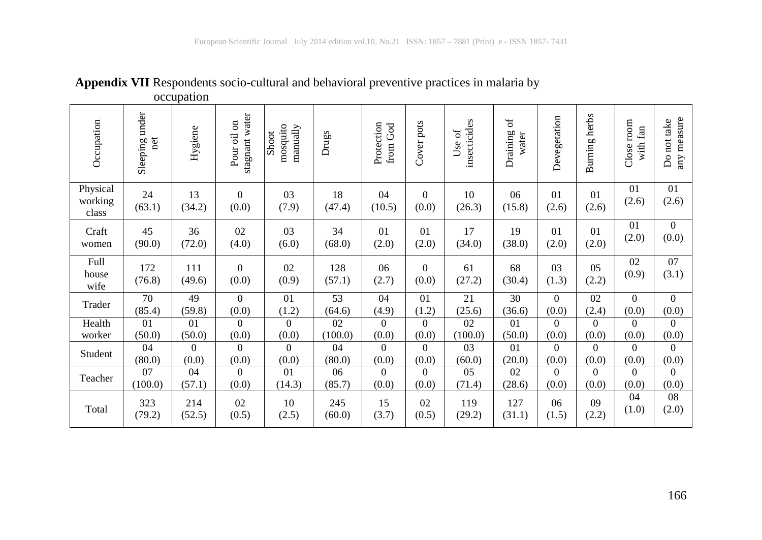|                              |                       | $occu$ patron |                                                       |                               |               |                        |                         |                        |                                 |                |               |                        |                            |
|------------------------------|-----------------------|---------------|-------------------------------------------------------|-------------------------------|---------------|------------------------|-------------------------|------------------------|---------------------------------|----------------|---------------|------------------------|----------------------------|
| Occupation                   | Sleeping under<br>net | Hygiene       | stagnant water<br>$\overline{\mathrm{m}}$<br>Pour oil | mosquito<br>manually<br>Shoot | Drugs         | Protection<br>from God | Cover pots              | insecticides<br>Use of | $\rm ^{6}$<br>Draining<br>water | Devegetation   | Burning herbs | Close room<br>with fan | any measure<br>Do not take |
| Physical<br>working<br>class | 24<br>(63.1)          | 13<br>(34.2)  | $\mathbf{0}$<br>(0.0)                                 | 03<br>(7.9)                   | 18<br>(47.4)  | 04<br>(10.5)           | $\mathbf{0}$<br>(0.0)   | 10<br>(26.3)           | 06<br>(15.8)                    | 01<br>(2.6)    | 01<br>(2.6)   | 01<br>(2.6)            | 01<br>(2.6)                |
| Craft                        | 45                    | 36            | 02                                                    | 03                            | 34            | 01                     | 01                      | 17                     | 19                              | 01             | 01            | 01                     | $\mathbf{0}$               |
| women                        | (90.0)                | (72.0)        | (4.0)                                                 | (6.0)                         | (68.0)        | (2.0)                  | (2.0)                   | (34.0)                 | (38.0)                          | (2.0)          | (2.0)         | (2.0)                  | (0.0)                      |
| Full<br>house<br>wife        | 172<br>(76.8)         | 111<br>(49.6) | $\Omega$<br>(0.0)                                     | 02<br>(0.9)                   | 128<br>(57.1) | 06<br>(2.7)            | $\overline{0}$<br>(0.0) | 61<br>(27.2)           | 68<br>(30.4)                    | 03<br>(1.3)    | 05<br>(2.2)   | 02<br>(0.9)            | 07<br>(3.1)                |
| Trader                       | 70                    | 49            | $\mathbf{0}$                                          | 01                            | 53            | 04                     | 01                      | 21                     | 30                              | $\overline{0}$ | 02            | $\overline{0}$         | $\overline{0}$             |
|                              | (85.4)                | (59.8)        | (0.0)                                                 | (1.2)                         | (64.6)        | (4.9)                  | (1.2)                   | (25.6)                 | (36.6)                          | (0.0)          | (2.4)         | (0.0)                  | (0.0)                      |
| Health                       | 01                    | 01            | $\Omega$                                              | $\overline{0}$                | 02            | $\Omega$               | $\Omega$                | 02                     | 01                              | $\overline{0}$ | $\Omega$      | $\mathbf{0}$           | $\overline{0}$             |
| worker                       | (50.0)                | (50.0)        | (0.0)                                                 | (0.0)                         | (100.0)       | (0.0)                  | (0.0)                   | (100.0)                | (50.0)                          | (0.0)          | (0.0)         | (0.0)                  | (0.0)                      |
| Student                      | 04                    | $\Omega$      | $\Omega$                                              | $\theta$                      | 04            | $\Omega$               | $\Omega$                | 03                     | 01                              | $\Omega$       | $\Omega$      | $\theta$               | $\Omega$                   |
|                              | (80.0)                | (0.0)         | (0.0)                                                 | (0.0)                         | (80.0)        | (0.0)                  | (0.0)                   | (60.0)                 | (20.0)                          | (0.0)          | (0.0)         | (0.0)                  | (0.0)                      |
| Teacher                      | 07                    | 04            | $\Omega$                                              | 01                            | 06            | $\Omega$               | $\theta$                | 05                     | 02                              | $\Omega$       | $\Omega$      | $\theta$               | $\Omega$                   |
|                              | (100.0)               | (57.1)        | (0.0)                                                 | (14.3)                        | (85.7)        | (0.0)                  | (0.0)                   | (71.4)                 | (28.6)                          | (0.0)          | (0.0)         | (0.0)                  | (0.0)                      |
| Total                        | 323                   | 214           | 02                                                    | 10                            | 245           | 15                     | 02                      | 119                    | 127                             | 06             | 09            | 04                     | 08                         |
|                              | (79.2)                | (52.5)        | (0.5)                                                 | (2.5)                         | (60.0)        | (3.7)                  | (0.5)                   | (29.2)                 | (31.1)                          | (1.5)          | (2.2)         | (1.0)                  | (2.0)                      |

**Appendix VII** Respondents socio-cultural and behavioral preventive practices in malaria by occupation